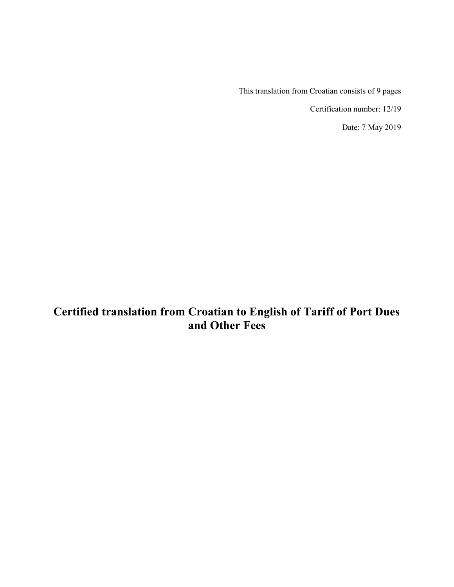This translation from Croatian consists of 9 pages

Certification number: 12/19

Date: 7 May 2019

# **Certified translation from Croatian to English of Tariff of Port Dues and Other Fees**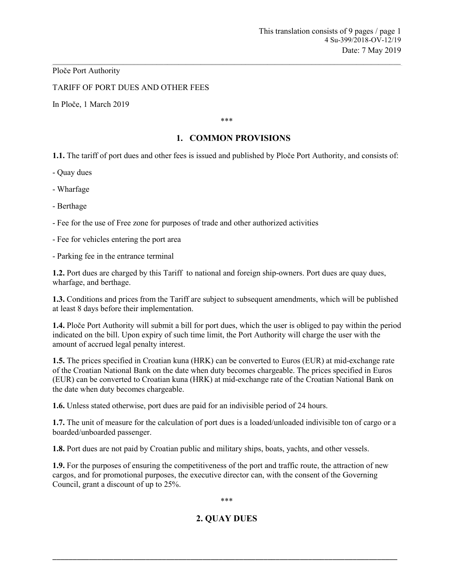Ploče Port Authority

TARIFF OF PORT DUES AND OTHER FEES

In Ploče, 1 March 2019

\*\*\*

### **1. COMMON PROVISIONS**

**1.1.** The tariff of port dues and other fees is issued and published by Ploče Port Authority, and consists of:

- Quay dues
- Wharfage
- Berthage

- Fee for the use of Free zone for purposes of trade and other authorized activities

- Fee for vehicles entering the port area

- Parking fee in the entrance terminal

**1.2.** Port dues are charged by this Tariff to national and foreign ship-owners. Port dues are quay dues, wharfage, and berthage.

**1.3.** Conditions and prices from the Tariff are subject to subsequent amendments, which will be published at least 8 days before their implementation.

**1.4.** Ploče Port Authority will submit a bill for port dues, which the user is obliged to pay within the period indicated on the bill. Upon expiry of such time limit, the Port Authority will charge the user with the amount of accrued legal penalty interest.

**1.5.** The prices specified in Croatian kuna (HRK) can be converted to Euros (EUR) at mid-exchange rate of the Croatian National Bank on the date when duty becomes chargeable. The prices specified in Euros (EUR) can be converted to Croatian kuna (HRK) at mid-exchange rate of the Croatian National Bank on the date when duty becomes chargeable.

**1.6.** Unless stated otherwise, port dues are paid for an indivisible period of 24 hours.

**1.7.** The unit of measure for the calculation of port dues is a loaded/unloaded indivisible ton of cargo or a boarded/unboarded passenger.

**1.8.** Port dues are not paid by Croatian public and military ships, boats, yachts, and other vessels.

**1.9.** For the purposes of ensuring the competitiveness of the port and traffic route, the attraction of new cargos, and for promotional purposes, the executive director can, with the consent of the Governing Council, grant a discount of up to 25%.

\*\*\*

### **2. QUAY DUES**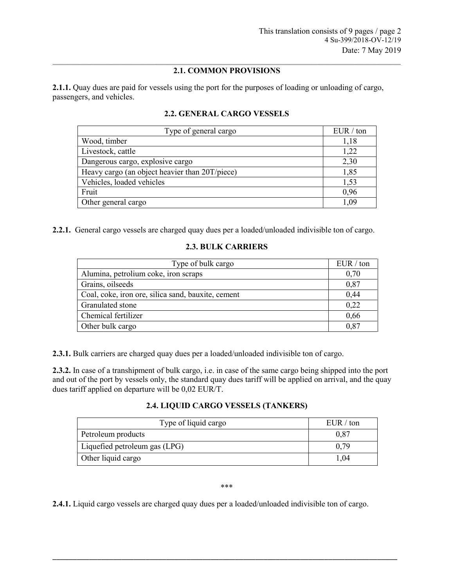#### **2.1. COMMON PROVISIONS**

**2.1.1.** Quay dues are paid for vessels using the port for the purposes of loading or unloading of cargo, passengers, and vehicles.

| Type of general cargo                          | $EUR / \text{ton}$ |
|------------------------------------------------|--------------------|
| Wood, timber                                   | 1,18               |
| Livestock, cattle                              | 1,22               |
| Dangerous cargo, explosive cargo               | 2,30               |
| Heavy cargo (an object heavier than 20T/piece) | 1,85               |
| Vehicles, loaded vehicles                      | 1,53               |
| Fruit                                          | 0,96               |
| Other general cargo                            | 1,09               |

### **2.2. GENERAL CARGO VESSELS**

**2.2.1.** General cargo vessels are charged quay dues per a loaded/unloaded indivisible ton of cargo.

### **2.3. BULK CARRIERS**

| Type of bulk cargo                                 | $EUR / \text{ton}$ |
|----------------------------------------------------|--------------------|
| Alumina, petrolium coke, iron scraps               | 0,70               |
| Grains, oilseeds                                   | 0,87               |
| Coal, coke, iron ore, silica sand, bauxite, cement | 0,44               |
| Granulated stone                                   | 0,22               |
| Chemical fertilizer                                | 0,66               |
| Other bulk cargo                                   | 0.87               |

**2.3.1.** Bulk carriers are charged quay dues per a loaded/unloaded indivisible ton of cargo.

**2.3.2.** In case of a transhipment of bulk cargo, i.e. in case of the same cargo being shipped into the port and out of the port by vessels only, the standard quay dues tariff will be applied on arrival, and the quay dues tariff applied on departure will be 0,02 EUR/T.

### **2.4. LIQUID CARGO VESSELS (TANKERS)**

| Type of liquid cargo          | $EUR / \text{ton}$ |
|-------------------------------|--------------------|
| Petroleum products            | 0.87               |
| Liquefied petroleum gas (LPG) | 0,79               |
| Other liquid cargo            | 1.04               |

#### \*\*\*

\_\_\_\_\_\_\_\_\_\_\_\_\_\_\_\_\_\_\_\_\_\_\_\_\_\_\_\_\_\_\_\_\_\_\_\_\_\_\_\_\_\_\_\_\_\_\_\_\_\_\_\_\_\_\_\_\_\_\_\_\_\_\_\_\_\_\_\_\_\_\_\_\_\_\_\_\_\_\_\_\_\_\_\_\_

**2.4.1.** Liquid cargo vessels are charged quay dues per a loaded/unloaded indivisible ton of cargo.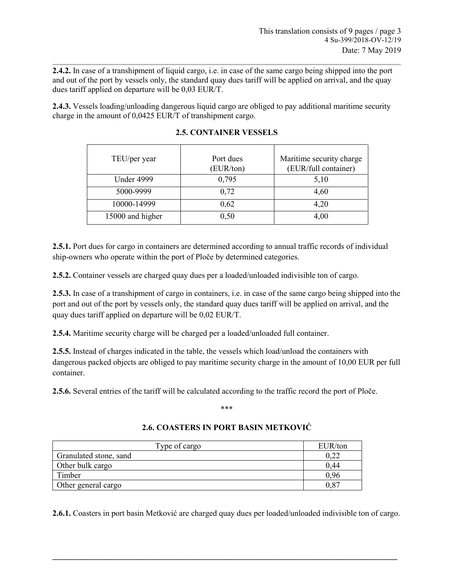**2.4.2.** In case of a transhipment of liquid cargo, i.e. in case of the same cargo being shipped into the port and out of the port by vessels only, the standard quay dues tariff will be applied on arrival, and the quay dues tariff applied on departure will be 0,03 EUR/T.

**2.4.3.** Vessels loading/unloading dangerous liquid cargo are obliged to pay additional maritime security charge in the amount of 0,0425 EUR/T of transhipment cargo.

| TEU/per year     | Port dues<br>(EUR/ton) | Maritime security charge<br>(EUR/full container) |
|------------------|------------------------|--------------------------------------------------|
| Under 4999       | 0,795                  | 5,10                                             |
| 5000-9999        | 0,72                   | 4,60                                             |
| 10000-14999      | 0,62                   | 4,20                                             |
| 15000 and higher | 0,50                   | 4,00                                             |

## **2.5. CONTAINER VESSELS**

**2.5.1.** Port dues for cargo in containers are determined according to annual traffic records of individual ship-owners who operate within the port of Ploče by determined categories.

**2.5.2.** Container vessels are charged quay dues per a loaded/unloaded indivisible ton of cargo.

**2.5.3.** In case of a transhipment of cargo in containers, i.e. in case of the same cargo being shipped into the port and out of the port by vessels only, the standard quay dues tariff will be applied on arrival, and the quay dues tariff applied on departure will be 0,02 EUR/T.

**2.5.4.** Maritime security charge will be charged per a loaded/unloaded full container.

**2.5.5.** Instead of charges indicated in the table, the vessels which load/unload the containers with dangerous packed objects are obliged to pay maritime security charge in the amount of 10,00 EUR per full container.

**2.5.6.** Several entries of the tariff will be calculated according to the traffic record the port of Ploče.

\*\*\*

### **2.6. COASTERS IN PORT BASIN METKOVIĆ**

| Type of cargo          | EUR/ton |
|------------------------|---------|
| Granulated stone, sand |         |
| Other bulk cargo       | 0.44    |
| Timber                 | 0.96    |
| Other general cargo    |         |

**2.6.1.** Coasters in port basin Metković are charged quay dues per loaded/unloaded indivisible ton of cargo.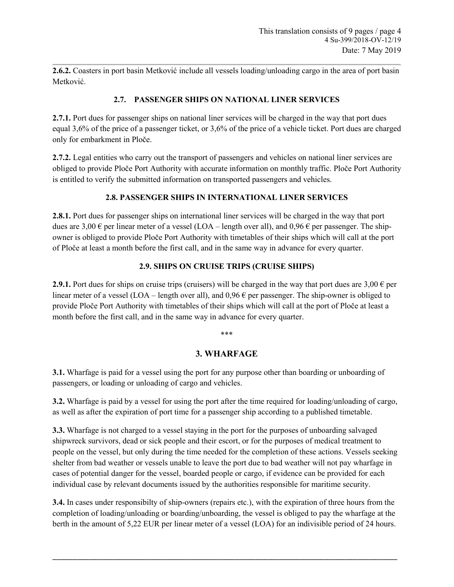**2.6.2.** Coasters in port basin Metković include all vessels loading/unloading cargo in the area of port basin Metković.

### **2.7. PASSENGER SHIPS ON NATIONAL LINER SERVICES**

**2.7.1.** Port dues for passenger ships on national liner services will be charged in the way that port dues equal 3,6% of the price of a passenger ticket, or 3,6% of the price of a vehicle ticket. Port dues are charged only for embarkment in Ploče.

**2.7.2.** Legal entities who carry out the transport of passengers and vehicles on national liner services are obliged to provide Ploče Port Authority with accurate information on monthly traffic. Ploče Port Authority is entitled to verify the submitted information on transported passengers and vehicles.

### **2.8. PASSENGER SHIPS IN INTERNATIONAL LINER SERVICES**

**2.8.1.** Port dues for passenger ships on international liner services will be charged in the way that port dues are 3,00  $\epsilon$  per linear meter of a vessel (LOA – length over all), and 0,96  $\epsilon$  per passenger. The shipowner is obliged to provide Ploče Port Authority with timetables of their ships which will call at the port of Ploče at least a month before the first call, and in the same way in advance for every quarter.

## **2.9. SHIPS ON CRUISE TRIPS (CRUISE SHIPS)**

**2.9.1.** Port dues for ships on cruise trips (cruisers) will be charged in the way that port dues are  $3,00 \in$  per linear meter of a vessel (LOA – length over all), and  $0.96 \text{ }\epsilon$  per passenger. The ship-owner is obliged to provide Ploče Port Authority with timetables of their ships which will call at the port of Ploče at least a month before the first call, and in the same way in advance for every quarter.

\*\*\*

### **3. WHARFAGE**

**3.1.** Wharfage is paid for a vessel using the port for any purpose other than boarding or unboarding of passengers, or loading or unloading of cargo and vehicles.

**3.2.** Wharfage is paid by a vessel for using the port after the time required for loading/unloading of cargo, as well as after the expiration of port time for a passenger ship according to a published timetable.

**3.3.** Wharfage is not charged to a vessel staying in the port for the purposes of unboarding salvaged shipwreck survivors, dead or sick people and their escort, or for the purposes of medical treatment to people on the vessel, but only during the time needed for the completion of these actions. Vessels seeking shelter from bad weather or vessels unable to leave the port due to bad weather will not pay wharfage in cases of potential danger for the vessel, boarded people or cargo, if evidence can be provided for each individual case by relevant documents issued by the authorities responsible for maritime security.

**3.4.** In cases under responsibilty of ship-owners (repairs etc.), with the expiration of three hours from the completion of loading/unloading or boarding/unboarding, the vessel is obliged to pay the wharfage at the berth in the amount of 5,22 EUR per linear meter of a vessel (LOA) for an indivisible period of 24 hours.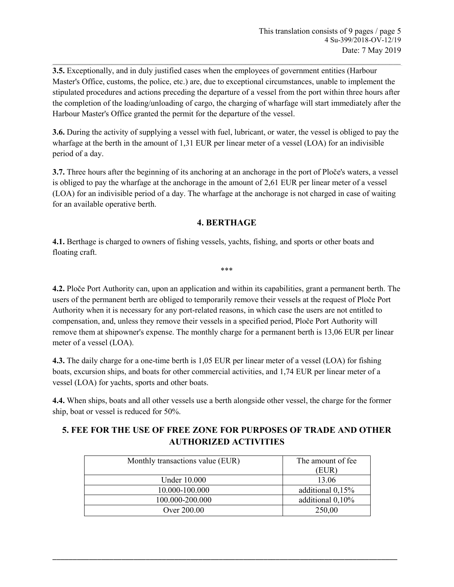**3.5.** Exceptionally, and in duly justified cases when the employees of government entities (Harbour Master's Office, customs, the police, etc.) are, due to exceptional circumstances, unable to implement the stipulated procedures and actions preceding the departure of a vessel from the port within three hours after the completion of the loading/unloading of cargo, the charging of wharfage will start immediately after the Harbour Master's Office granted the permit for the departure of the vessel.

**3.6.** During the activity of supplying a vessel with fuel, lubricant, or water, the vessel is obliged to pay the wharfage at the berth in the amount of 1,31 EUR per linear meter of a vessel (LOA) for an indivisible period of a day.

**3.7.** Three hours after the beginning of its anchoring at an anchorage in the port of Ploče's waters, a vessel is obliged to pay the wharfage at the anchorage in the amount of 2,61 EUR per linear meter of a vessel (LOA) for an indivisible period of a day. The wharfage at the anchorage is not charged in case of waiting for an available operative berth.

### **4. BERTHAGE**

**4.1.** Berthage is charged to owners of fishing vessels, yachts, fishing, and sports or other boats and floating craft.

\*\*\*

**4.2.** Ploče Port Authority can, upon an application and within its capabilities, grant a permanent berth. The users of the permanent berth are obliged to temporarily remove their vessels at the request of Ploče Port Authority when it is necessary for any port-related reasons, in which case the users are not entitled to compensation, and, unless they remove their vessels in a specified period, Ploče Port Authority will remove them at shipowner's expense. The monthly charge for a permanent berth is 13,06 EUR per linear meter of a vessel (LOA).

**4.3.** The daily charge for a one-time berth is 1,05 EUR per linear meter of a vessel (LOA) for fishing boats, excursion ships, and boats for other commercial activities, and 1,74 EUR per linear meter of a vessel (LOA) for yachts, sports and other boats.

**4.4.** When ships, boats and all other vessels use a berth alongside other vessel, the charge for the former ship, boat or vessel is reduced for 50%.

## **5. FEE FOR THE USE OF FREE ZONE FOR PURPOSES OF TRADE AND OTHER AUTHORIZED ACTIVITIES**

| Monthly transactions value (EUR) | The amount of fee<br>(EUR) |
|----------------------------------|----------------------------|
| <b>Under 10.000</b>              | 13.06                      |
| 10.000-100.000                   | additional 0,15%           |
| 100.000-200.000                  | additional 0,10%           |
| Over 200.00                      | 250,00                     |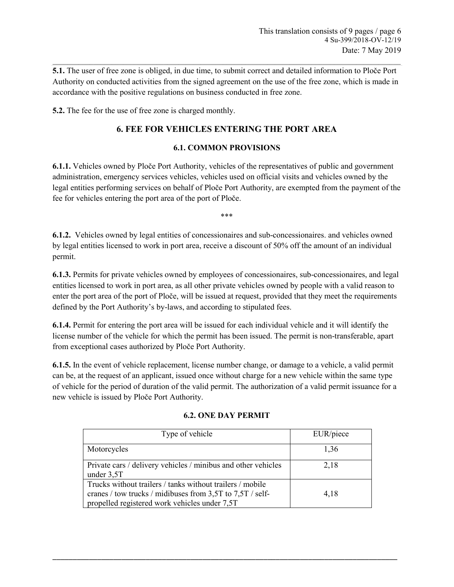**5.1.** The user of free zone is obliged, in due time, to submit correct and detailed information to Ploče Port Authority on conducted activities from the signed agreement on the use of the free zone, which is made in accordance with the positive regulations on business conducted in free zone.

**5.2.** The fee for the use of free zone is charged monthly.

### **6. FEE FOR VEHICLES ENTERING THE PORT AREA**

#### **6.1. COMMON PROVISIONS**

**6.1.1.** Vehicles owned by Ploče Port Authority, vehicles of the representatives of public and government administration, emergency services vehicles, vehicles used on official visits and vehicles owned by the legal entities performing services on behalf of Ploče Port Authority, are exempted from the payment of the fee for vehicles entering the port area of the port of Ploče.

\*\*\*

**6.1.2.** Vehicles owned by legal entities of concessionaires and sub-concessionaires. and vehicles owned by legal entities licensed to work in port area, receive a discount of 50% off the amount of an individual permit.

**6.1.3.** Permits for private vehicles owned by employees of concessionaires, sub-concessionaires, and legal entities licensed to work in port area, as all other private vehicles owned by people with a valid reason to enter the port area of the port of Ploče, will be issued at request, provided that they meet the requirements defined by the Port Authority's by-laws, and according to stipulated fees.

**6.1.4.** Permit for entering the port area will be issued for each individual vehicle and it will identify the license number of the vehicle for which the permit has been issued. The permit is non-transferable, apart from exceptional cases authorized by Ploče Port Authority.

**6.1.5.** In the event of vehicle replacement, license number change, or damage to a vehicle, a valid permit can be, at the request of an applicant, issued once without charge for a new vehicle within the same type of vehicle for the period of duration of the valid permit. The authorization of a valid permit issuance for a new vehicle is issued by Ploče Port Authority.

| Type of vehicle                                                                                                                                                             | EUR/piece |
|-----------------------------------------------------------------------------------------------------------------------------------------------------------------------------|-----------|
| Motorcycles                                                                                                                                                                 | 1,36      |
| Private cars / delivery vehicles / minibus and other vehicles<br>under $3,5T$                                                                                               | 2,18      |
| Trucks without trailers / tanks without trailers / mobile<br>cranes / tow trucks / midibuses from $3.5T$ to $7.5T$ / self-<br>propelled registered work vehicles under 7,5T | 4,18      |

\_\_\_\_\_\_\_\_\_\_\_\_\_\_\_\_\_\_\_\_\_\_\_\_\_\_\_\_\_\_\_\_\_\_\_\_\_\_\_\_\_\_\_\_\_\_\_\_\_\_\_\_\_\_\_\_\_\_\_\_\_\_\_\_\_\_\_\_\_\_\_\_\_\_\_\_\_\_\_\_\_\_\_\_\_

#### **6.2. ONE DAY PERMIT**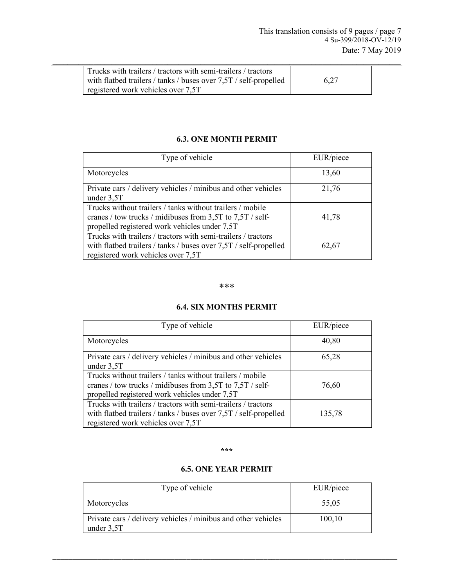| Trucks with trailers / tractors with semi-trailers / tractors    |      |
|------------------------------------------------------------------|------|
| with flatbed trailers / tanks / buses over 7,5T / self-propelled | 6,27 |
| registered work vehicles over 7,5T                               |      |

#### **6.3. ONE MONTH PERMIT**

| Type of vehicle                                                                                                                                                         | EUR/piece |
|-------------------------------------------------------------------------------------------------------------------------------------------------------------------------|-----------|
| Motorcycles                                                                                                                                                             | 13,60     |
| Private cars / delivery vehicles / minibus and other vehicles<br>under $3,5T$                                                                                           | 21,76     |
| Trucks without trailers / tanks without trailers / mobile<br>cranes / tow trucks / midibuses from 3,5T to 7,5T / self-<br>propelled registered work vehicles under 7,5T | 41,78     |
| Trucks with trailers / tractors with semi-trailers / tractors<br>with flatbed trailers / tanks / buses over 7,5T / self-propelled<br>registered work vehicles over 7,5T | 62,67     |

#### \*\*\*

### **6.4. SIX MONTHS PERMIT**

| Type of vehicle                                                                                                                                                           | EUR/piece |
|---------------------------------------------------------------------------------------------------------------------------------------------------------------------------|-----------|
| Motorcycles                                                                                                                                                               | 40,80     |
| Private cars / delivery vehicles / minibus and other vehicles<br>under $3,5T$                                                                                             | 65,28     |
| Trucks without trailers / tanks without trailers / mobile<br>cranes / tow trucks / midibuses from 3,5T to 7,5T / self-<br>propelled registered work vehicles under 7,5T   | 76,60     |
| Trucks with trailers / tractors with semi-trailers / tractors<br>with flatbed trailers / tanks / buses over $7.5T$ / self-propelled<br>registered work vehicles over 7,5T | 135,78    |

#### **\*\*\***

#### **6.5. ONE YEAR PERMIT**

| Type of vehicle                                                               | EUR/piece |
|-------------------------------------------------------------------------------|-----------|
| Motorcycles                                                                   | 55,05     |
| Private cars / delivery vehicles / minibus and other vehicles<br>under $3,5T$ | 100,10    |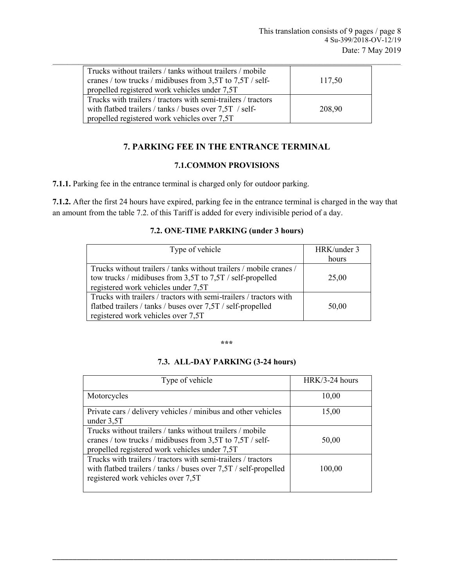| Trucks without trailers / tanks without trailers / mobile<br>cranes / tow trucks / midibuses from 3.5T to 7.5T / self-<br>propelled registered work vehicles under 7,5T    | 117,50 |
|----------------------------------------------------------------------------------------------------------------------------------------------------------------------------|--------|
| Trucks with trailers / tractors with semi-trailers / tractors<br>with flatbed trailers / tanks / buses over $7.5T$ / self-<br>propelled registered work vehicles over 7,5T | 208,90 |

## **7. PARKING FEE IN THE ENTRANCE TERMINAL**

### **7.1.COMMON PROVISIONS**

**7.1.1.** Parking fee in the entrance terminal is charged only for outdoor parking.

**7.1.2.** After the first 24 hours have expired, parking fee in the entrance terminal is charged in the way that an amount from the table 7.2. of this Tariff is added for every indivisible period of a day.

### **7.2. ONE-TIME PARKING (under 3 hours)**

| Type of vehicle                                                                                                                                                         | HRK/under 3 |
|-------------------------------------------------------------------------------------------------------------------------------------------------------------------------|-------------|
|                                                                                                                                                                         | hours       |
| Trucks without trailers / tanks without trailers / mobile cranes /<br>tow trucks / midibuses from 3,5T to 7,5T / self-propelled<br>registered work vehicles under 7,5T  | 25,00       |
| Trucks with trailers / tractors with semi-trailers / tractors with<br>flatbed trailers / tanks / buses over 7,5T / self-propelled<br>registered work vehicles over 7,5T | 50,00       |

**\*\*\***

#### **7.3. ALL-DAY PARKING (3-24 hours)**

| Type of vehicle                                                                                                                                                           | HRK/3-24 hours |
|---------------------------------------------------------------------------------------------------------------------------------------------------------------------------|----------------|
| Motorcycles                                                                                                                                                               | 10,00          |
| Private cars / delivery vehicles / minibus and other vehicles<br>under $3,5T$                                                                                             | 15,00          |
| Trucks without trailers / tanks without trailers / mobile<br>cranes / tow trucks / midibuses from 3,5T to 7,5T / self-<br>propelled registered work vehicles under 7,5T   | 50,00          |
| Trucks with trailers / tractors with semi-trailers / tractors<br>with flatbed trailers / tanks / buses over $7.5T$ / self-propelled<br>registered work vehicles over 7,5T | 100,00         |